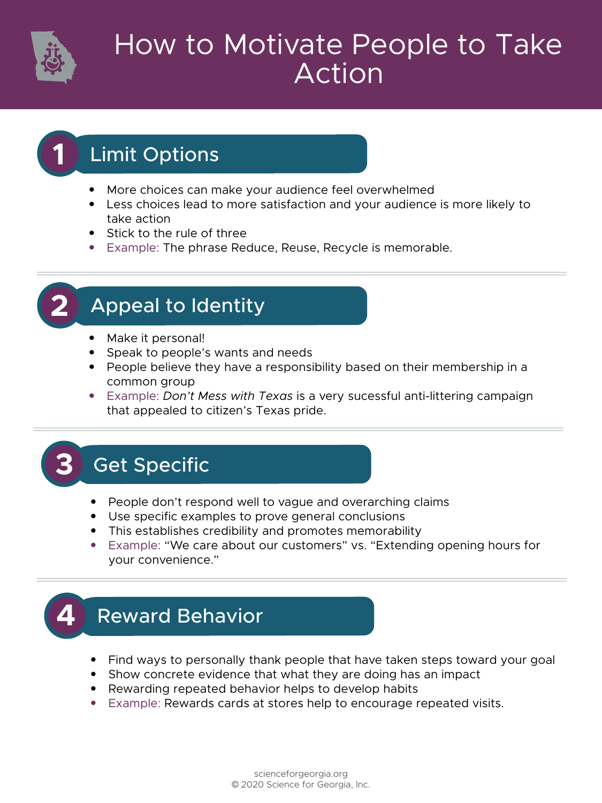

# How to Motivate People to Take Action

## **1** Limit Options

- More choices can make your audience feel overwhelmed
- Less choices lead to more satisfaction and your audience is more likely to take action
- Stick to the rule of three
- Example: The phrase Reduce, Reuse, Recycle is memorable.

#### **Appeal to Identity**

- Make it personal!
- Speak to people's wants and needs
- People believe they have a responsibility based on their membership in a common group
- Example: *Don't Mess with Texas* is a very sucessful anti-littering campaign that appealed to citizen's Texas pride.

## **Get Specific**

- People don't respond well to vague and overarching claims
- Use specific examples to prove general conclusions
- This establishes credibility and promotes memorability
- Example: "We care about our customers" vs. "Extending opening hours for your convenience."

## **Reward Behavior**

- Find ways to personally thank people that have taken steps toward your goal
- Show concrete evidence that what they are doing has an impact
- Rewarding repeated behavior helps to develop habits
- Example: Rewards cards at stores help to encourage repeated visits.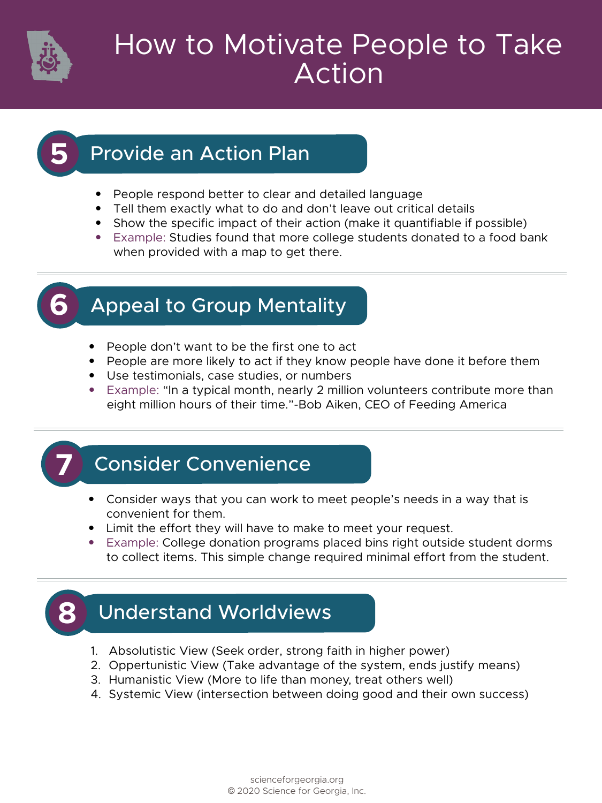

#### Ow to motivate reople to re How to Motivate People to Take Action

#### **Provide an Action Plan**

- People respond better to clear and detailed language
- Tell them exactly what to do and don't leave out critical details
- Show the specific impact of their action (make it quantifiable if possible)
- Example: Studies found that more college students donated to a food bank when provided with a map to get there.

## **Appeal to Group Mentality**

- People don't want to be the first one to act
- People are more likely to act if they know people have done it before them
- Use testimonials, case studies, or numbers
- Example: "In a typical month, nearly 2 million volunteers contribute more than eight million hours of their time."-Bob Aiken, CEO of Feeding America

## **Consider Convenience**

- Consider ways that you can work to meet people's needs in a way that is convenient for them.
- Limit the effort they will have to make to meet your request.
- Example: College donation programs placed bins right outside student dorms to collect items. This simple change required minimal effort from the student.



## **Understand Worldviews**

- 1. Absolutistic View (Seek order, strong faith in higher power)
- 2. Oppertunistic View (Take advantage of the system, ends justify means)
- 3. Humanistic View (More to life than money, treat others well)
- 4. Systemic View (intersection between doing good and their own success)